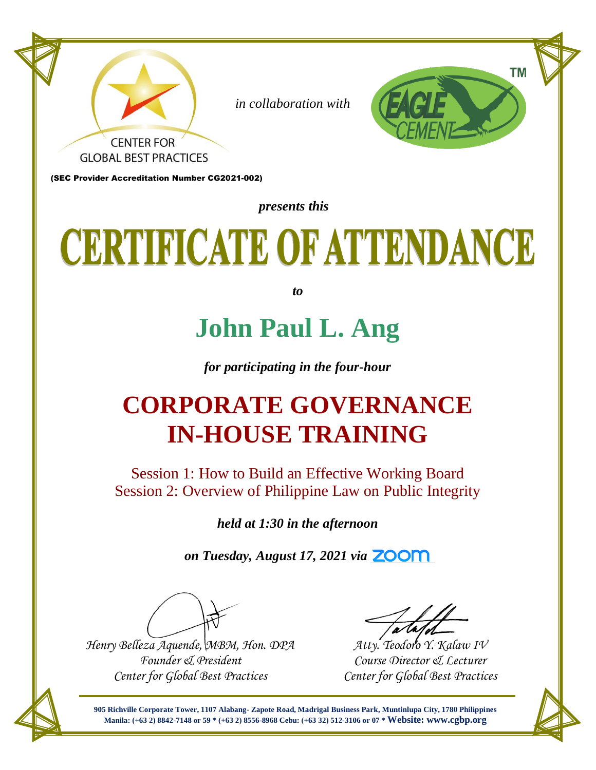

# CERTIFICATE OF ATTENDANCE

*to*

### **John Paul L. Ang**

*for participating in the four-hour* 

#### **CORPORATE GOVERNANCE IN-HOUSE TRAINING**

Session 1: How to Build an Effective Working Board Session 2: Overview of Philippine Law on Public Integrity

*held at 1:30 in the afternoon*

*on Tuesday, August 17, 2021 via ZOOM*

*Henry Belleza Aquende, MBM, Hon. DPA Founder & President Center for Global Best Practices*

*Atty. Teodoro Y. Kalaw IV Course Director & Lecturer Center for Global Best Practices*

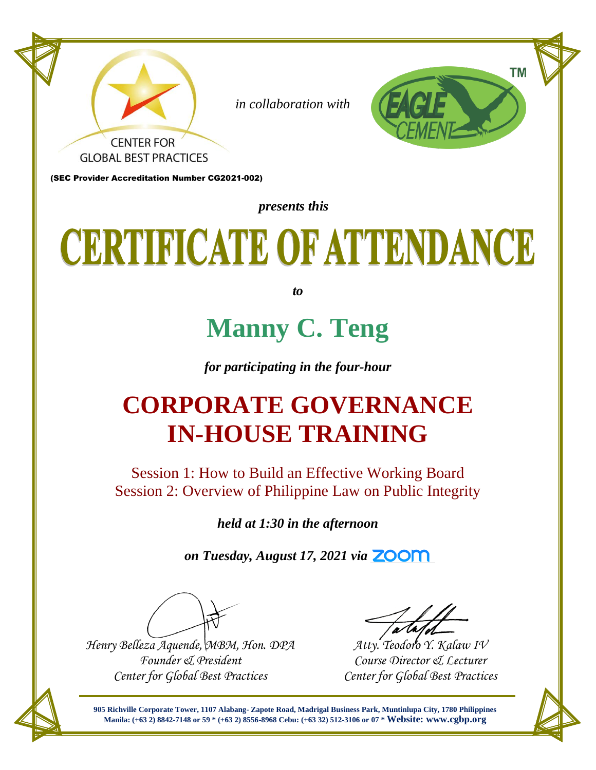

# CERTIFICATE OF ATTENDANCE

*to*

### **Manny C. Teng**

*for participating in the four-hour* 

#### **CORPORATE GOVERNANCE IN-HOUSE TRAINING**

Session 1: How to Build an Effective Working Board Session 2: Overview of Philippine Law on Public Integrity

*held at 1:30 in the afternoon*

*on Tuesday, August 17, 2021 via ZOOM*

*Henry Belleza Aquende, MBM, Hon. DPA Founder & President Center for Global Best Practices*

*Atty. Teodoro Y. Kalaw IV Course Director & Lecturer Center for Global Best Practices*

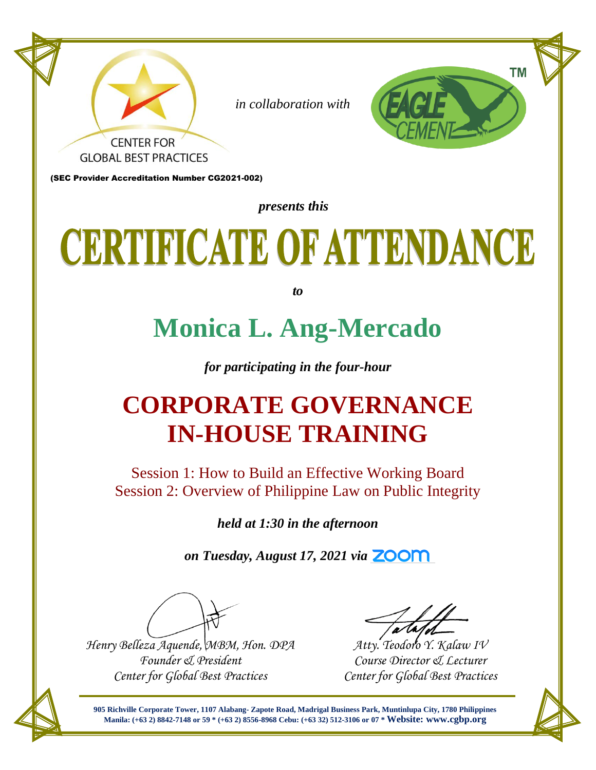

# CERTIFICATE OF ATTENDANCE

*to*

### **Monica L. Ang-Mercado**

*for participating in the four-hour* 

#### **CORPORATE GOVERNANCE IN-HOUSE TRAINING**

Session 1: How to Build an Effective Working Board Session 2: Overview of Philippine Law on Public Integrity

*held at 1:30 in the afternoon*

*on Tuesday, August 17, 2021 via ZOOM*

*Henry Belleza Aquende, MBM, Hon. DPA Founder & President Center for Global Best Practices*

*Atty. Teodoro Y. Kalaw IV Course Director & Lecturer Center for Global Best Practices*

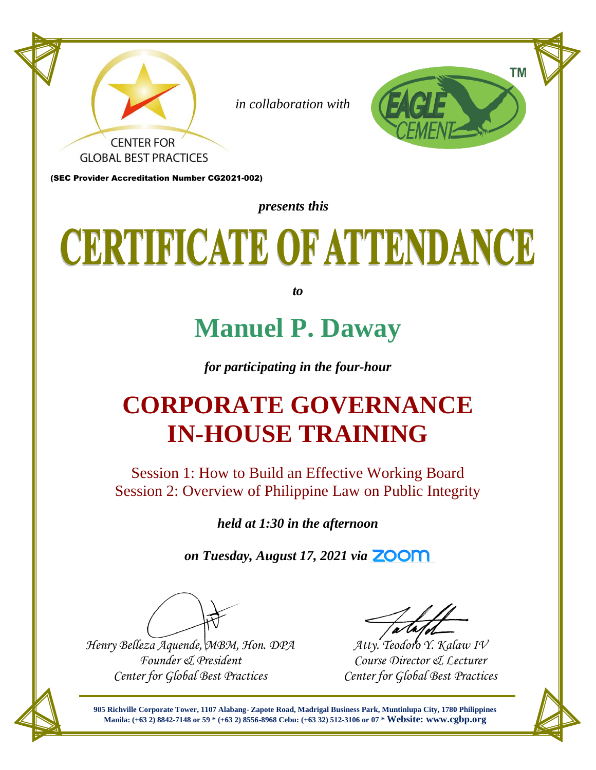

# CERTIFICATE OF ATTENDANCE

*to*

### **Manuel P. Daway**

*for participating in the four-hour* 

#### **CORPORATE GOVERNANCE IN-HOUSE TRAINING**

Session 1: How to Build an Effective Working Board Session 2: Overview of Philippine Law on Public Integrity

*held at 1:30 in the afternoon*

*on Tuesday, August 17, 2021 via ZOOM*

*Henry Belleza Aquende, MBM, Hon. DPA Founder & President Center for Global Best Practices*

*Atty. Teodoro Y. Kalaw IV Course Director & Lecturer Center for Global Best Practices*

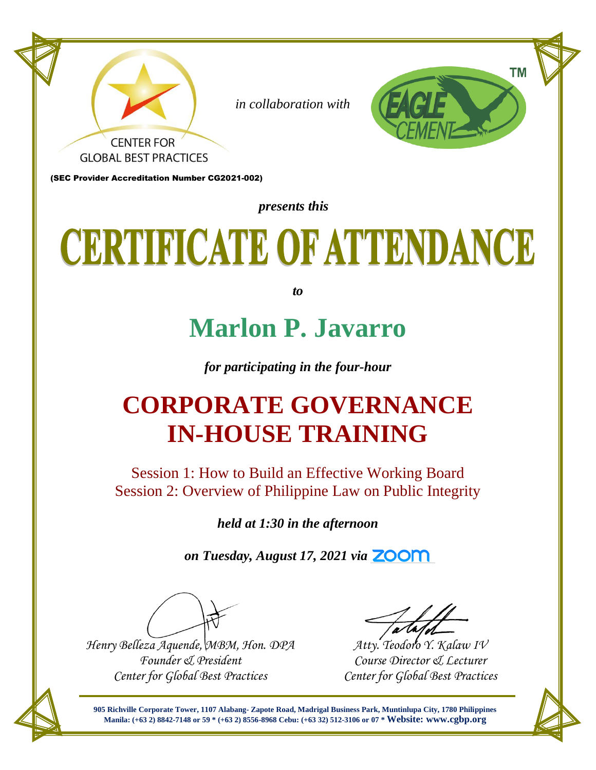

# CERTIFICATE OF ATTENDANCE

*to*

#### **Marlon P. Javarro**

*for participating in the four-hour* 

#### **CORPORATE GOVERNANCE IN-HOUSE TRAINING**

Session 1: How to Build an Effective Working Board Session 2: Overview of Philippine Law on Public Integrity

*held at 1:30 in the afternoon*

*on Tuesday, August 17, 2021 via ZOOM*

*Henry Belleza Aquende, MBM, Hon. DPA Founder & President Center for Global Best Practices*

*Atty. Teodoro Y. Kalaw IV Course Director & Lecturer Center for Global Best Practices*

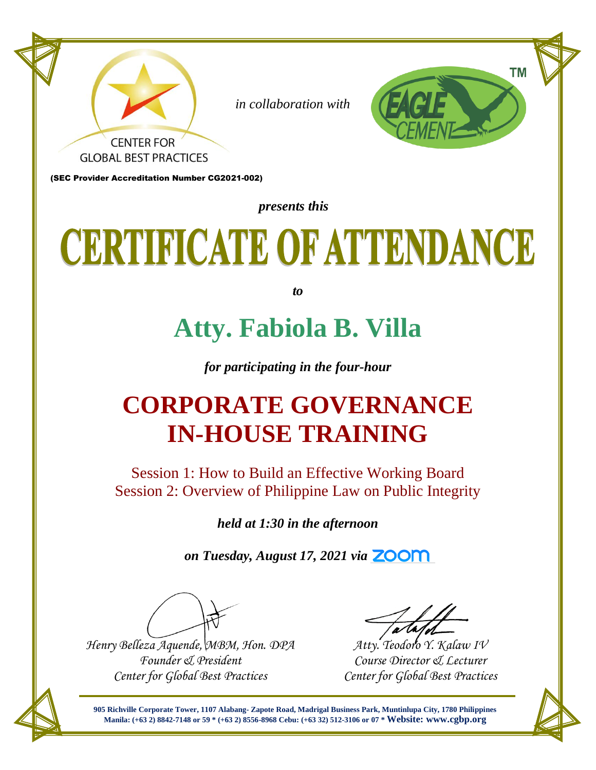

### CERTIFICATE OF ATTENDANCE

*to*

#### **Atty. Fabiola B. Villa**

*for participating in the four-hour* 

#### **CORPORATE GOVERNANCE IN-HOUSE TRAINING**

Session 1: How to Build an Effective Working Board Session 2: Overview of Philippine Law on Public Integrity

*held at 1:30 in the afternoon*

*on Tuesday, August 17, 2021 via ZOOM*

*Henry Belleza Aquende, MBM, Hon. DPA Founder & President Center for Global Best Practices*

*Atty. Teodoro Y. Kalaw IV Course Director & Lecturer Center for Global Best Practices*